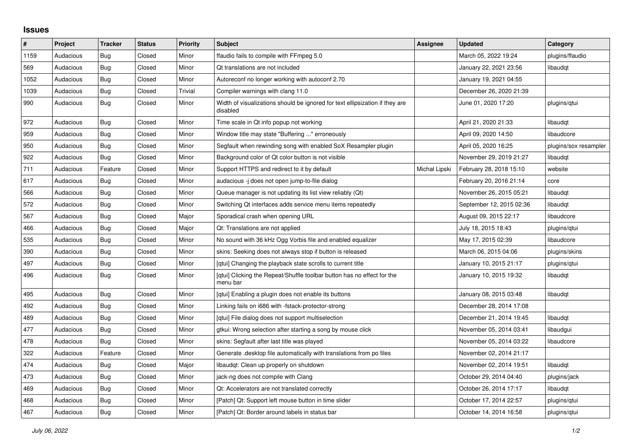## **Issues**

| #    | Project   | <b>Tracker</b> | <b>Status</b> | <b>Priority</b> | <b>Subject</b>                                                                           | Assignee      | Updated                  | Category              |
|------|-----------|----------------|---------------|-----------------|------------------------------------------------------------------------------------------|---------------|--------------------------|-----------------------|
| 1159 | Audacious | Bug            | Closed        | Minor           | ffaudio fails to compile with FFmpeg 5.0                                                 |               | March 05, 2022 19:24     | plugins/ffaudio       |
| 569  | Audacious | Bug            | Closed        | Minor           | Qt translations are not included                                                         |               | January 22, 2021 23:56   | libaudgt              |
| 1052 | Audacious | <b>Bug</b>     | Closed        | Minor           | Autoreconf no longer working with autoconf 2.70                                          |               | January 19, 2021 04:55   |                       |
| 1039 | Audacious | <b>Bug</b>     | Closed        | <b>Trivial</b>  | Compiler warnings with clang 11.0                                                        |               | December 26, 2020 21:39  |                       |
| 990  | Audacious | <b>Bug</b>     | Closed        | Minor           | Width of visualizations should be ignored for text ellipsization if they are<br>disabled |               | June 01, 2020 17:20      | plugins/gtui          |
| 972  | Audacious | Bug            | Closed        | Minor           | Time scale in Qt info popup not working                                                  |               | April 21, 2020 21:33     | libaudqt              |
| 959  | Audacious | Bug            | Closed        | Minor           | Window title may state "Buffering " erroneously                                          |               | April 09, 2020 14:50     | libaudcore            |
| 950  | Audacious | Bug            | Closed        | Minor           | Segfault when rewinding song with enabled SoX Resampler plugin                           |               | April 05, 2020 16:25     | plugins/sox resampler |
| 922  | Audacious | Bug            | Closed        | Minor           | Background color of Qt color button is not visible                                       |               | November 29, 2019 21:27  | libaudgt              |
| 711  | Audacious | Feature        | Closed        | Minor           | Support HTTPS and redirect to it by default                                              | Michał Lipski | February 28, 2018 15:10  | website               |
| 617  | Audacious | <b>Bug</b>     | Closed        | Minor           | audacious -j does not open jump-to-file dialog                                           |               | February 20, 2016 21:14  | core                  |
| 566  | Audacious | Bug            | Closed        | Minor           | Queue manager is not updating its list view reliably (Qt)                                |               | November 26, 2015 05:21  | libaudgt              |
| 572  | Audacious | <b>Bug</b>     | Closed        | Minor           | Switching Qt interfaces adds service menu items repeatedly                               |               | September 12, 2015 02:36 | libaudgt              |
| 567  | Audacious | <b>Bug</b>     | Closed        | Major           | Sporadical crash when opening URL                                                        |               | August 09, 2015 22:17    | libaudcore            |
| 466  | Audacious | Bug            | Closed        | Major           | Qt: Translations are not applied                                                         |               | July 18, 2015 18:43      | plugins/qtui          |
| 535  | Audacious | Bug            | Closed        | Minor           | No sound with 36 kHz Ogg Vorbis file and enabled equalizer                               |               | May 17, 2015 02:39       | libaudcore            |
| 390  | Audacious | Bug            | Closed        | Minor           | skins: Seeking does not always stop if button is released                                |               | March 06, 2015 04:06     | plugins/skins         |
| 497  | Audacious | Bug            | Closed        | Minor           | [qtui] Changing the playback state scrolls to current title                              |               | January 10, 2015 21:17   | plugins/qtui          |
| 496  | Audacious | Bug            | Closed        | Minor           | [qtui] Clicking the Repeat/Shuffle toolbar button has no effect for the<br>menu bar      |               | January 10, 2015 19:32   | libaudgt              |
| 495  | Audacious | <b>Bug</b>     | Closed        | Minor           | [gtui] Enabling a plugin does not enable its buttons                                     |               | January 08, 2015 03:48   | libaudqt              |
| 492  | Audacious | Bug            | Closed        | Minor           | Linking fails on i686 with -fstack-protector-strong                                      |               | December 28, 2014 17:08  |                       |
| 489  | Audacious | Bug            | Closed        | Minor           | [gtui] File dialog does not support multiselection                                       |               | December 21, 2014 19:45  | libaudqt              |
| 477  | Audacious | Bug            | Closed        | Minor           | gtkui: Wrong selection after starting a song by mouse click                              |               | November 05, 2014 03:41  | libaudgui             |
| 478  | Audacious | Bug            | Closed        | Minor           | skins: Segfault after last title was played                                              |               | November 05, 2014 03:22  | libaudcore            |
| 322  | Audacious | Feature        | Closed        | Minor           | Generate desktop file automatically with translations from po files                      |               | November 02, 2014 21:17  |                       |
| 474  | Audacious | <b>Bug</b>     | Closed        | Major           | libaudgt: Clean up properly on shutdown                                                  |               | November 02, 2014 19:51  | libaudgt              |
| 473  | Audacious | Bug            | Closed        | Minor           | jack-ng does not compile with Clang                                                      |               | October 29, 2014 04:40   | plugins/jack          |
| 469  | Audacious | Bug            | Closed        | Minor           | Qt: Accelerators are not translated correctly                                            |               | October 26, 2014 17:17   | libaudgt              |
| 468  | Audacious | Bug            | Closed        | Minor           | [Patch] Qt: Support left mouse button in time slider                                     |               | October 17, 2014 22:57   | plugins/qtui          |
| 467  | Audacious | Bug            | Closed        | Minor           | [Patch] Qt: Border around labels in status bar                                           |               | October 14, 2014 16:58   | plugins/gtui          |